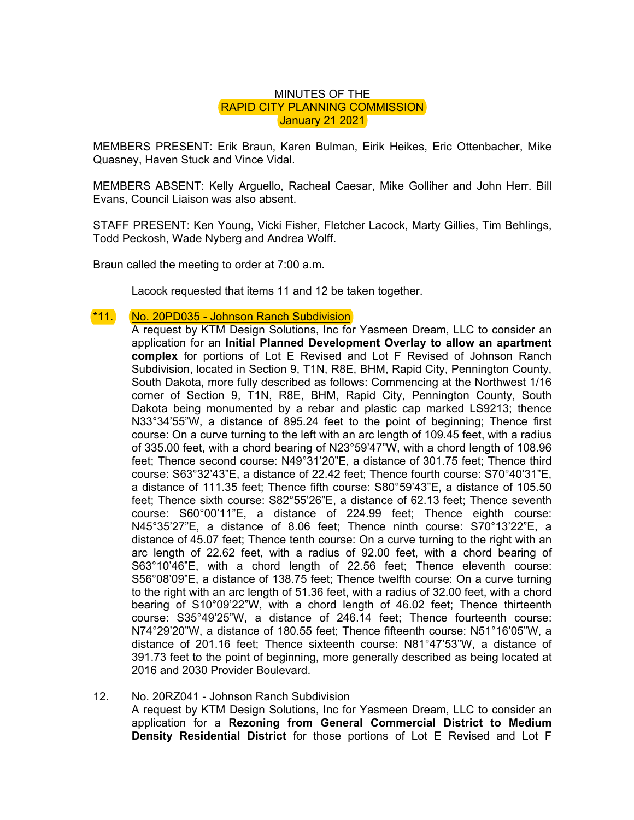## MINUTES OF THE RAPID CITY PLANNING COMMISSION **January 21 2021**

MEMBERS PRESENT: Erik Braun, Karen Bulman, Eirik Heikes, Eric Ottenbacher, Mike Quasney, Haven Stuck and Vince Vidal.

MEMBERS ABSENT: Kelly Arguello, Racheal Caesar, Mike Golliher and John Herr. Bill Evans, Council Liaison was also absent.

STAFF PRESENT: Ken Young, Vicki Fisher, Fletcher Lacock, Marty Gillies, Tim Behlings, Todd Peckosh, Wade Nyberg and Andrea Wolff.

Braun called the meeting to order at 7:00 a.m.

Lacock requested that items 11 and 12 be taken together.

## \*11. No. 20PD035 - Johnson Ranch Subdivision

A request by KTM Design Solutions, Inc for Yasmeen Dream, LLC to consider an application for an **Initial Planned Development Overlay to allow an apartment complex** for portions of Lot E Revised and Lot F Revised of Johnson Ranch Subdivision, located in Section 9, T1N, R8E, BHM, Rapid City, Pennington County, South Dakota, more fully described as follows: Commencing at the Northwest 1/16 corner of Section 9, T1N, R8E, BHM, Rapid City, Pennington County, South Dakota being monumented by a rebar and plastic cap marked LS9213; thence N33°34'55"W, a distance of 895.24 feet to the point of beginning; Thence first course: On a curve turning to the left with an arc length of 109.45 feet, with a radius of 335.00 feet, with a chord bearing of N23°59'47"W, with a chord length of 108.96 feet; Thence second course: N49°31'20"E, a distance of 301.75 feet; Thence third course: S63°32'43"E, a distance of 22.42 feet; Thence fourth course: S70°40'31"E, a distance of 111.35 feet; Thence fifth course: S80°59'43"E, a distance of 105.50 feet; Thence sixth course: S82°55'26"E, a distance of 62.13 feet; Thence seventh course: S60°00'11"E, a distance of 224.99 feet; Thence eighth course: N45°35'27"E, a distance of 8.06 feet; Thence ninth course: S70°13'22"E, a distance of 45.07 feet; Thence tenth course: On a curve turning to the right with an arc length of 22.62 feet, with a radius of 92.00 feet, with a chord bearing of S63°10'46"E, with a chord length of 22.56 feet; Thence eleventh course: S56°08'09"E, a distance of 138.75 feet; Thence twelfth course: On a curve turning to the right with an arc length of 51.36 feet, with a radius of 32.00 feet, with a chord bearing of S10°09'22"W, with a chord length of 46.02 feet; Thence thirteenth course: S35°49'25"W, a distance of 246.14 feet; Thence fourteenth course: N74°29'20"W, a distance of 180.55 feet; Thence fifteenth course: N51°16'05"W, a distance of 201.16 feet; Thence sixteenth course: N81°47'53"W, a distance of 391.73 feet to the point of beginning, more generally described as being located at 2016 and 2030 Provider Boulevard.

## 12. No. 20RZ041 - Johnson Ranch Subdivision A request by KTM Design Solutions, Inc for Yasmeen Dream, LLC to consider an application for a **Rezoning from General Commercial District to Medium Density Residential District** for those portions of Lot E Revised and Lot F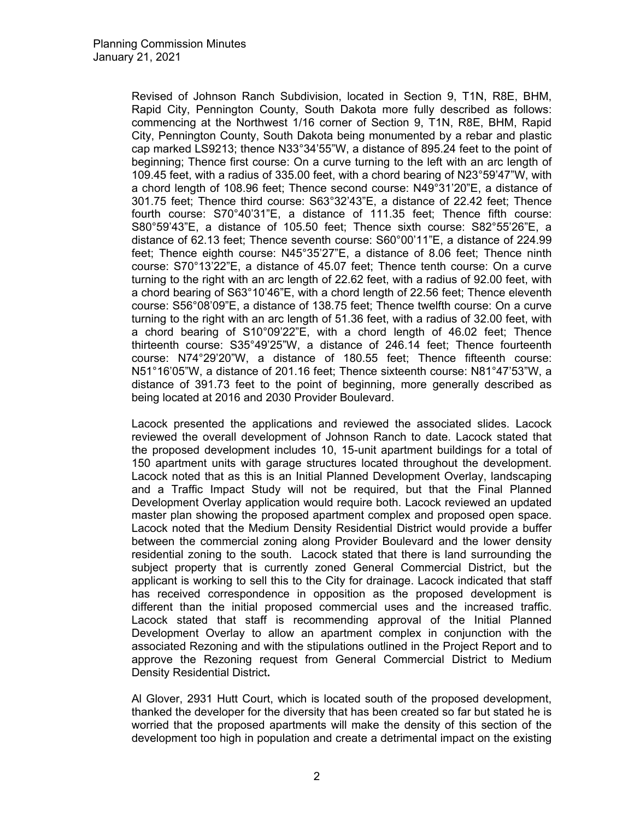Revised of Johnson Ranch Subdivision, located in Section 9, T1N, R8E, BHM, Rapid City, Pennington County, South Dakota more fully described as follows: commencing at the Northwest 1/16 corner of Section 9, T1N, R8E, BHM, Rapid City, Pennington County, South Dakota being monumented by a rebar and plastic cap marked LS9213; thence N33°34'55"W, a distance of 895.24 feet to the point of beginning; Thence first course: On a curve turning to the left with an arc length of 109.45 feet, with a radius of 335.00 feet, with a chord bearing of N23°59'47"W, with a chord length of 108.96 feet; Thence second course: N49°31'20"E, a distance of 301.75 feet; Thence third course: S63°32'43"E, a distance of 22.42 feet; Thence fourth course: S70°40'31"E, a distance of 111.35 feet; Thence fifth course: S80°59'43"E, a distance of 105.50 feet; Thence sixth course: S82°55'26"E, a distance of 62.13 feet; Thence seventh course: S60°00'11"E, a distance of 224.99 feet; Thence eighth course: N45°35'27"E, a distance of 8.06 feet; Thence ninth course: S70°13'22"E, a distance of 45.07 feet; Thence tenth course: On a curve turning to the right with an arc length of 22.62 feet, with a radius of 92.00 feet, with a chord bearing of S63°10'46"E, with a chord length of 22.56 feet; Thence eleventh course: S56°08'09"E, a distance of 138.75 feet; Thence twelfth course: On a curve turning to the right with an arc length of 51.36 feet, with a radius of 32.00 feet, with a chord bearing of S10°09'22"E, with a chord length of 46.02 feet; Thence thirteenth course: S35°49'25"W, a distance of 246.14 feet; Thence fourteenth course: N74°29'20"W, a distance of 180.55 feet; Thence fifteenth course: N51°16'05"W, a distance of 201.16 feet; Thence sixteenth course: N81°47'53"W, a distance of 391.73 feet to the point of beginning, more generally described as being located at 2016 and 2030 Provider Boulevard.

Lacock presented the applications and reviewed the associated slides. Lacock reviewed the overall development of Johnson Ranch to date. Lacock stated that the proposed development includes 10, 15-unit apartment buildings for a total of 150 apartment units with garage structures located throughout the development. Lacock noted that as this is an Initial Planned Development Overlay, landscaping and a Traffic Impact Study will not be required, but that the Final Planned Development Overlay application would require both. Lacock reviewed an updated master plan showing the proposed apartment complex and proposed open space. Lacock noted that the Medium Density Residential District would provide a buffer between the commercial zoning along Provider Boulevard and the lower density residential zoning to the south. Lacock stated that there is land surrounding the subject property that is currently zoned General Commercial District, but the applicant is working to sell this to the City for drainage. Lacock indicated that staff has received correspondence in opposition as the proposed development is different than the initial proposed commercial uses and the increased traffic. Lacock stated that staff is recommending approval of the Initial Planned Development Overlay to allow an apartment complex in conjunction with the associated Rezoning and with the stipulations outlined in the Project Report and to approve the Rezoning request from General Commercial District to Medium Density Residential District**.**

Al Glover, 2931 Hutt Court, which is located south of the proposed development, thanked the developer for the diversity that has been created so far but stated he is worried that the proposed apartments will make the density of this section of the development too high in population and create a detrimental impact on the existing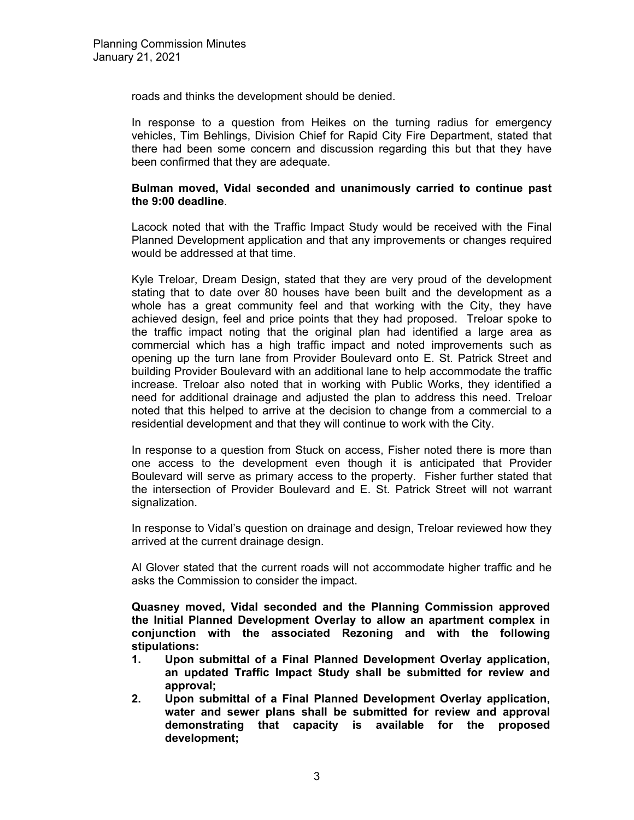roads and thinks the development should be denied.

In response to a question from Heikes on the turning radius for emergency vehicles, Tim Behlings, Division Chief for Rapid City Fire Department, stated that there had been some concern and discussion regarding this but that they have been confirmed that they are adequate.

## **Bulman moved, Vidal seconded and unanimously carried to continue past the 9:00 deadline**.

Lacock noted that with the Traffic Impact Study would be received with the Final Planned Development application and that any improvements or changes required would be addressed at that time.

Kyle Treloar, Dream Design, stated that they are very proud of the development stating that to date over 80 houses have been built and the development as a whole has a great community feel and that working with the City, they have achieved design, feel and price points that they had proposed. Treloar spoke to the traffic impact noting that the original plan had identified a large area as commercial which has a high traffic impact and noted improvements such as opening up the turn lane from Provider Boulevard onto E. St. Patrick Street and building Provider Boulevard with an additional lane to help accommodate the traffic increase. Treloar also noted that in working with Public Works, they identified a need for additional drainage and adjusted the plan to address this need. Treloar noted that this helped to arrive at the decision to change from a commercial to a residential development and that they will continue to work with the City.

In response to a question from Stuck on access, Fisher noted there is more than one access to the development even though it is anticipated that Provider Boulevard will serve as primary access to the property. Fisher further stated that the intersection of Provider Boulevard and E. St. Patrick Street will not warrant signalization.

In response to Vidal's question on drainage and design, Treloar reviewed how they arrived at the current drainage design.

Al Glover stated that the current roads will not accommodate higher traffic and he asks the Commission to consider the impact.

**Quasney moved, Vidal seconded and the Planning Commission approved the Initial Planned Development Overlay to allow an apartment complex in conjunction with the associated Rezoning and with the following stipulations:** 

- **1. Upon submittal of a Final Planned Development Overlay application, an updated Traffic Impact Study shall be submitted for review and approval;**
- **2. Upon submittal of a Final Planned Development Overlay application, water and sewer plans shall be submitted for review and approval demonstrating that capacity is available for the proposed development;**